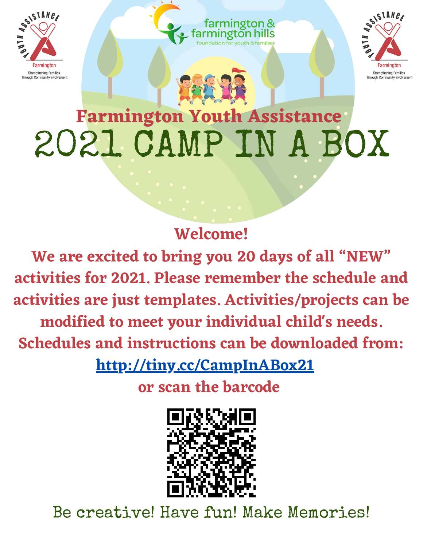



## **Farmington Youth Assistance** 2021 CAMP IN A BOX

farmington &

## **Welcome!**

**We are excited to bring you 20 days of all "NEW" activities for 2021. Please remember the schedule and activities are just templates. Activities/projects can be modified to meet your individual child's needs.**

**Schedules and instructions can be down[loa](http://tiny.cc/CampInABox21)ded from:**

**<http://tiny.cc/CampInABox21>**

**or scan the barcode**



Be creative! Have fun! Make Memories!